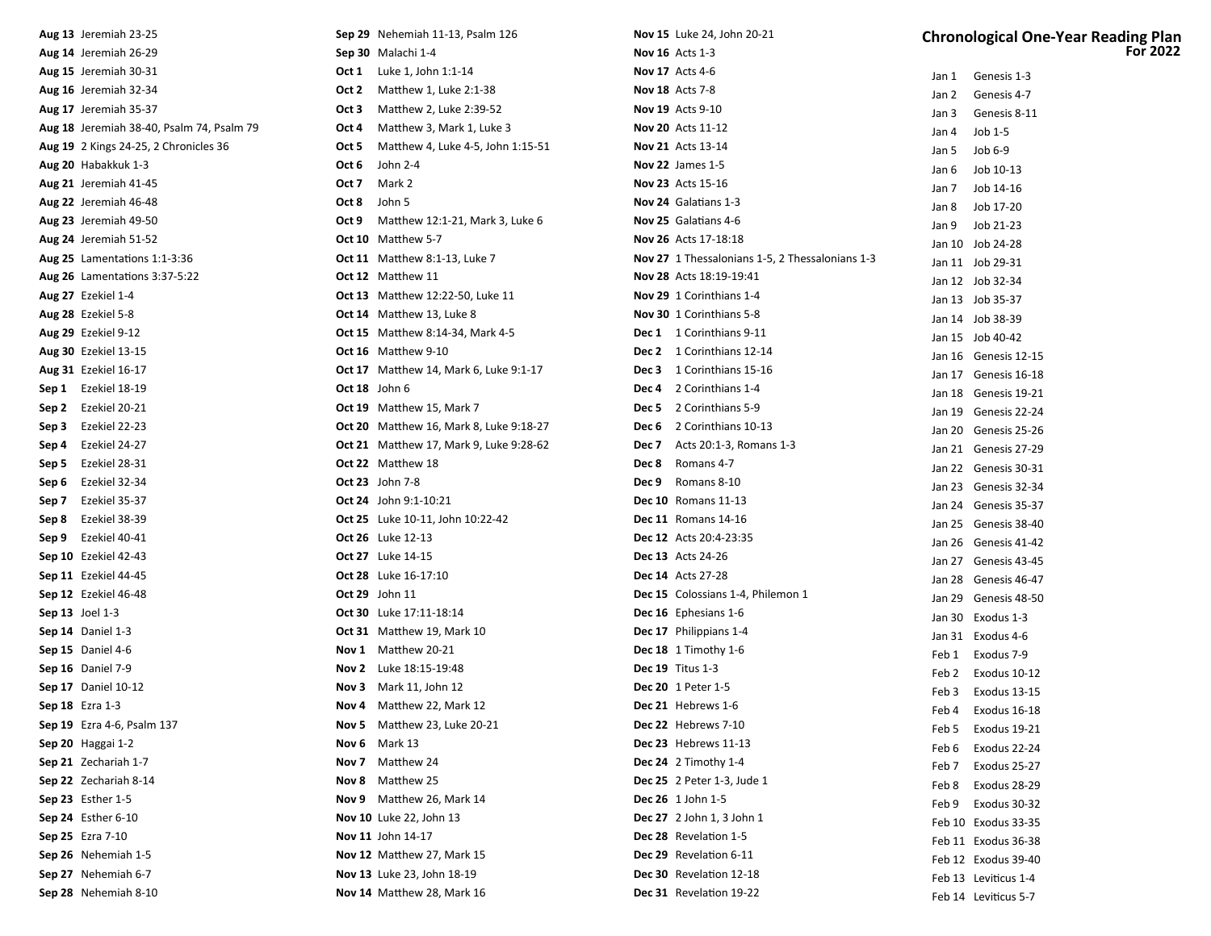| Aug 13 Jeremiah 23-25                     | <b>Sep 29</b> Nehemiah 11-13, Psalm 126        | <b>Nov 15</b> Luke 24, John 20-21               | <b>Chronological One-Year Reading Plan</b> |
|-------------------------------------------|------------------------------------------------|-------------------------------------------------|--------------------------------------------|
| Aug 14 Jeremiah 26-29                     | Sep 30 Malachi 1-4                             | <b>Nov 16</b> Acts 1-3                          | <b>For 2022</b>                            |
| Aug 15 Jeremiah 30-31                     | Luke 1, John 1:1-14<br>Oct 1                   | <b>Nov 17</b> Acts 4-6                          | Jan 1 Genesis 1-3                          |
| Aug 16 Jeremiah 32-34                     | Matthew 1, Luke 2:1-38<br>Oct 2                | <b>Nov 18</b> Acts 7-8                          | Genesis 4-7<br>Jan 2                       |
| Aug 17 Jeremiah 35-37                     | Matthew 2, Luke 2:39-52<br>Oct 3               | <b>Nov 19</b> Acts 9-10                         | Genesis 8-11<br>Jan 3                      |
| Aug 18 Jeremiah 38-40, Psalm 74, Psalm 79 | Matthew 3, Mark 1, Luke 3<br>Oct 4             | <b>Nov 20</b> Acts 11-12                        | Job 1-5<br>Jan 4                           |
| Aug 19 2 Kings 24-25, 2 Chronicles 36     | Matthew 4, Luke 4-5, John 1:15-51<br>Oct 5     | <b>Nov 21</b> Acts 13-14                        | Job 6-9<br>Jan 5                           |
| Aug 20 Habakkuk 1-3                       | Oct 6<br>John 2-4                              | <b>Nov 22</b> James 1-5                         | Job 10-13<br>Jan 6                         |
| Aug 21 Jeremiah 41-45                     | Mark 2<br>Oct 7                                | <b>Nov 23</b> Acts 15-16                        | Job 14-16<br>Jan 7                         |
| Aug 22 Jeremiah 46-48                     | Oct 8<br>John 5                                | Nov 24 Galatians 1-3                            | Job 17-20<br>Jan 8                         |
| Aug 23 Jeremiah 49-50                     | Matthew 12:1-21, Mark 3, Luke 6<br>Oct 9       | Nov 25 Galatians 4-6                            | Job 21-23<br>Jan 9                         |
| Aug 24 Jeremiah 51-52                     | <b>Oct 10</b> Matthew 5-7                      | Nov 26 Acts 17-18:18                            | Jan 10 Job 24-28                           |
| Aug 25 Lamentations 1:1-3:36              | <b>Oct 11</b> Matthew 8:1-13, Luke 7           | Nov 27 1 Thessalonians 1-5, 2 Thessalonians 1-3 | Jan 11 Job 29-31                           |
| Aug 26 Lamentations 3:37-5:22             | Oct 12 Matthew 11                              | Nov 28 Acts 18:19-19:41                         | Jan 12 Job 32-34                           |
| Aug 27 Ezekiel 1-4                        | <b>Oct 13</b> Matthew 12:22-50, Luke 11        | Nov 29 1 Corinthians 1-4                        | Jan 13 Job 35-37                           |
| Aug 28 Ezekiel 5-8                        | Oct 14 Matthew 13, Luke 8                      | Nov 30 1 Corinthians 5-8                        | Jan 14 Job 38-39                           |
| Aug 29 Ezekiel 9-12                       | <b>Oct 15</b> Matthew 8:14-34, Mark 4-5        | Dec 1 1 Corinthians 9-11                        | Jan 15 Job 40-42                           |
| <b>Aug 30</b> Ezekiel 13-15               | Oct 16 Matthew 9-10                            | Dec 2 1 Corinthians 12-14                       | Jan 16 Genesis 12-15                       |
| <b>Aug 31</b> Ezekiel 16-17               | <b>Oct 17</b> Matthew 14, Mark 6, Luke 9:1-17  | Dec 3 1 Corinthians 15-16                       | Jan 17 Genesis 16-18                       |
| Sep 1 Ezekiel 18-19                       | Oct 18 John 6                                  | Dec 4 2 Corinthians 1-4                         | Jan 18 Genesis 19-21                       |
| Sep 2 Ezekiel 20-21                       | Oct 19 Matthew 15, Mark 7                      | <b>Dec 5</b> 2 Corinthians 5-9                  | Jan 19 Genesis 22-24                       |
| Sep 3<br>Ezekiel 22-23                    | <b>Oct 20</b> Matthew 16, Mark 8, Luke 9:18-27 | Dec 6 2 Corinthians 10-13                       | Jan 20 Genesis 25-26                       |
| Ezekiel 24-27<br>Sep 4                    | <b>Oct 21</b> Matthew 17, Mark 9, Luke 9:28-62 | <b>Dec 7</b> Acts 20:1-3, Romans 1-3            | Jan 21 Genesis 27-29                       |
| Sep 5<br>Ezekiel 28-31                    | Oct 22 Matthew 18                              | Dec 8 Romans 4-7                                | Jan 22 Genesis 30-31                       |
| Sep 6<br>Ezekiel 32-34                    | <b>Oct 23</b> John 7-8                         | Dec 9 Romans 8-10                               | Jan 23 Genesis 32-34                       |
| Ezekiel 35-37<br>Sep 7                    | Oct 24 John 9:1-10:21                          | <b>Dec 10</b> Romans 11-13                      | Jan 24 Genesis 35-37                       |
| Ezekiel 38-39<br>Sep 8                    | Oct 25 Luke 10-11, John 10:22-42               | <b>Dec 11</b> Romans 14-16                      | Jan 25 Genesis 38-40                       |
| Ezekiel 40-41<br>Sep 9                    | <b>Oct 26</b> Luke 12-13                       | <b>Dec 12</b> Acts 20:4-23:35                   | Jan 26 Genesis 41-42                       |
| <b>Sep 10</b> Ezekiel 42-43               | <b>Oct 27</b> Luke 14-15                       | <b>Dec 13</b> Acts 24-26                        | Jan 27 Genesis 43-45                       |
| <b>Sep 11</b> Ezekiel 44-45               | <b>Oct 28</b> Luke 16-17:10                    | <b>Dec 14</b> Acts 27-28                        | Jan 28 Genesis 46-47                       |
| Sep 12 Ezekiel 46-48                      | <b>Oct 29</b> John 11                          | Dec 15 Colossians 1-4, Philemon 1               | Jan 29 Genesis 48-50                       |
| Sep 13 Joel 1-3                           | Oct 30 Luke 17:11-18:14                        | Dec 16 Ephesians 1-6                            | Jan 30 Exodus 1-3                          |
| Sep 14 Daniel 1-3                         | Oct 31 Matthew 19, Mark 10                     | Dec 17 Philippians 1-4                          | Jan 31 Exodus 4-6                          |
| Sep 15 Daniel 4-6                         | Nov 1 Matthew 20-21                            | Dec 18 1 Timothy 1-6                            | Feb 1 Exodus 7-9                           |
| Sep 16 Daniel 7-9                         | Nov 2 Luke 18:15-19:48                         | <b>Dec 19</b> Titus 1-3                         | Exodus 10-12<br>Feb 2                      |
| <b>Sep 17</b> Daniel 10-12                | Nov 3 Mark 11, John 12                         | Dec 20 1 Peter 1-5                              | Feb 3 Exodus 13-15                         |
| <b>Sep 18</b> Ezra 1-3                    | Nov 4 Matthew 22, Mark 12                      | Dec 21 Hebrews 1-6                              | Feb 4 Exodus 16-18                         |
| <b>Sep 19</b> Ezra 4-6, Psalm 137         | <b>Nov 5</b> Matthew 23, Luke 20-21            | Dec 22 Hebrews 7-10                             | Exodus 19-21<br>Feb 5                      |
| Sep 20 Haggai 1-2                         | Nov 6 Mark 13                                  | Dec 23 Hebrews 11-13                            | Exodus 22-24<br>Feb 6                      |
| Sep 21 Zechariah 1-7                      | Nov 7 Matthew 24                               | <b>Dec 24</b> 2 Timothy 1-4                     | Exodus 25-27<br>Feb 7                      |
| Sep 22 Zechariah 8-14                     | Nov 8 Matthew 25                               | <b>Dec 25</b> 2 Peter 1-3, Jude 1               | Exodus 28-29<br>Feb 8                      |
| Sep 23 Esther $1-5$                       | Nov 9 Matthew 26, Mark 14                      | Dec 26 1 John 1-5                               | Exodus 30-32<br>Feb 9                      |
| <b>Sep 24</b> Esther 6-10                 | Nov 10 Luke 22, John 13                        | Dec 27 2 John 1, 3 John 1                       | Feb 10 Exodus 33-35                        |
| Sep 25 Ezra 7-10                          | Nov 11 John 14-17                              | Dec 28 Revelation 1-5                           | Feb 11 Exodus 36-38                        |
| Sep 26 Nehemiah 1-5                       | Nov 12 Matthew 27, Mark 15                     | Dec 29 Revelation 6-11                          | Feb 12 Exodus 39-40                        |
| Sep 27 Nehemiah 6-7                       | Nov 13 Luke 23, John 18-19                     | Dec 30 Revelation 12-18                         | Feb 13 Leviticus 1-4                       |
| Sep 28 Nehemiah 8-10                      | Nov 14 Matthew 28, Mark 16                     | Dec 31 Revelation 19-22                         | Feb 14 Leviticus 5-7                       |